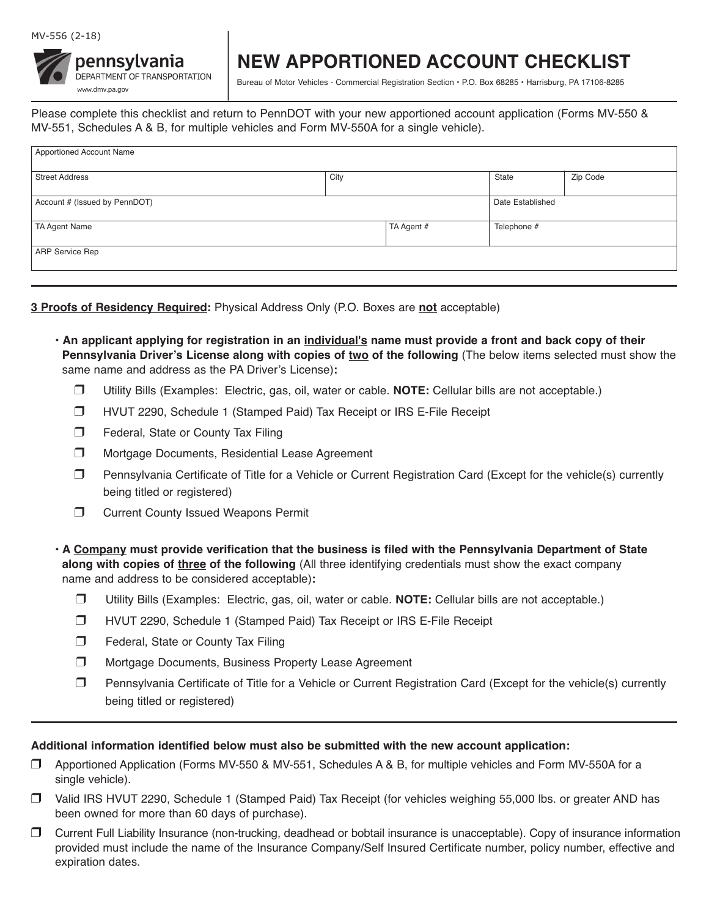## MV-556 (2-18)



## **NEW APPORTIONED ACCOUNT CHECKLIST**

Bureau of Motor Vehicles - Commercial Registration Section • P.O. Box 68285 • Harrisburg, PA 17106-8285

Please complete this checklist and return to PennDOT with your new apportioned account application (Forms MV-550 & MV-551, Schedules A & B, for multiple vehicles and Form MV-550A for a single vehicle).

| Apportioned Account Name      |      |            |                  |          |
|-------------------------------|------|------------|------------------|----------|
| <b>Street Address</b>         | City |            | State            | Zip Code |
| Account # (Issued by PennDOT) |      |            | Date Established |          |
| TA Agent Name                 |      | TA Agent # | Telephone #      |          |
| <b>ARP Service Rep</b>        |      |            |                  |          |
|                               |      |            |                  |          |

**3 Proofs of Residency Required:** Physical Address Only (P.O. Boxes are **not** acceptable)

- **An applicant applying for registration in an individual's name must provide a front and back copy of their Pennsylvania Driver's License along with copies of two of the following (The below items selected must show the** same name and address as the PA Driver's License)**:**
	- r Utility Bills (Examples: Electric, gas, oil, water or cable. **NOTE:** Cellular bills are not acceptable.)
	- r HVUT 2290, Schedule 1 (Stamped Paid) Tax Receipt or IRS E-File Receipt
	- Federal, State or County Tax Filing
	- $\Box$  Mortgage Documents, Residential Lease Agreement
	- $\Box$  Pennsylvania Certificate of Title for a Vehicle or Current Registration Card (Except for the vehicle(s) currently being titled or registered)
	- $\Box$  Current County Issued Weapons Permit

**• A Company must provide verification that the business is filed with the Pennsylvania Department of State along with copies of three of the following** (All three identifying credentials must show the exact company name and address to be considered acceptable)**:**

- r Utility Bills (Examples: Electric, gas, oil, water or cable. **NOTE:** Cellular bills are not acceptable.)
- r HVUT 2290, Schedule 1 (Stamped Paid) Tax Receipt or IRS E-File Receipt
- $\Box$  Federal, State or County Tax Filing
- $\Box$  Mortgage Documents, Business Property Lease Agreement
- $\Box$  Pennsylvania Certificate of Title for a Vehicle or Current Registration Card (Except for the vehicle(s) currently being titled or registered)

## **Additional information identified below must also be submitted with the new account application:**

- r Apportioned Application (Forms MV-550 & MV-551, Schedules A & B, for multiple vehicles and Form MV-550A for a single vehicle).
- □ Valid IRS HVUT 2290, Schedule 1 (Stamped Paid) Tax Receipt (for vehicles weighing 55,000 lbs. or greater AND has been owned for more than 60 days of purchase).
- r Current Full Liability Insurance (non-trucking, deadhead or bobtail insurance is unacceptable). Copy of insurance information provided must include the name of the Insurance Company/Self Insured Certificate number, policy number, effective and expiration dates.